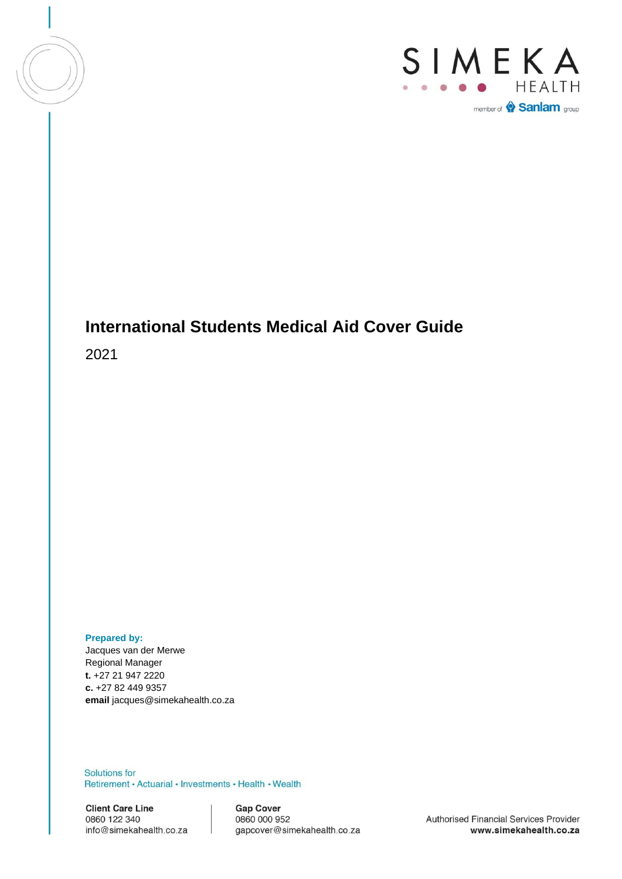



# **International Students Medical Aid Cover Guide**

2021

**Prepared by:**

Jacques van der Merwe Regional Manager **t.** +27 21 947 2220 **c.** +27 82 449 9357 **email** jacques@simekahealth.co.za

**Solutions for** Retirement • Actuarial • Investments • Health • Wealth

**Client Care Line** 0860 122 340 info@simekahealth.co.za

**Gap Cover** 0860 000 952 gapcover@simekahealth.co.za

Authorised Financial Services Provider www.simekahealth.co.za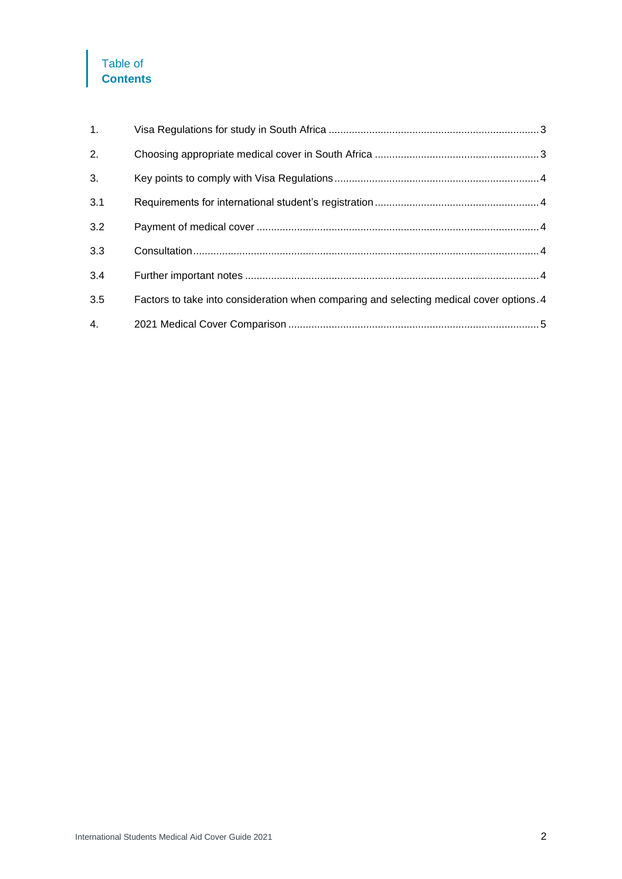# Table of **Contents**

| 1.  |                                                                                          |  |
|-----|------------------------------------------------------------------------------------------|--|
| 2.  |                                                                                          |  |
| 3.  |                                                                                          |  |
| 3.1 |                                                                                          |  |
| 3.2 |                                                                                          |  |
| 3.3 |                                                                                          |  |
| 3.4 |                                                                                          |  |
| 3.5 | Factors to take into consideration when comparing and selecting medical cover options. 4 |  |
| 4.  |                                                                                          |  |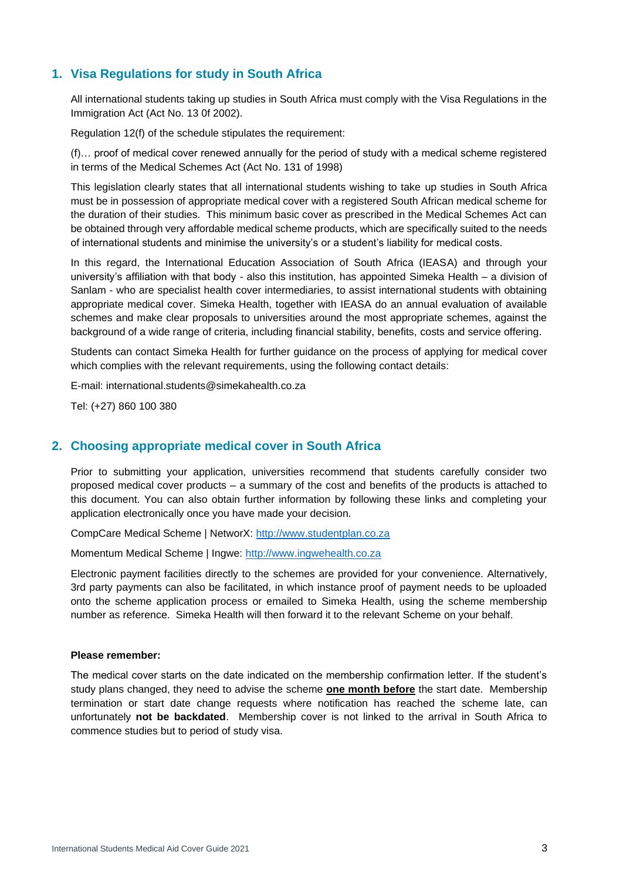### <span id="page-2-0"></span>**1. Visa Regulations for study in South Africa**

All international students taking up studies in South Africa must comply with the Visa Regulations in the Immigration Act (Act No. 13 0f 2002).

Regulation 12(f) of the schedule stipulates the requirement:

(f)… proof of medical cover renewed annually for the period of study with a medical scheme registered in terms of the Medical Schemes Act (Act No. 131 of 1998)

This legislation clearly states that all international students wishing to take up studies in South Africa must be in possession of appropriate medical cover with a registered South African medical scheme for the duration of their studies. This minimum basic cover as prescribed in the Medical Schemes Act can be obtained through very affordable medical scheme products, which are specifically suited to the needs of international students and minimise the university's or a student's liability for medical costs.

In this regard, the International Education Association of South Africa (IEASA) and through your university's affiliation with that body - also this institution, has appointed Simeka Health – a division of Sanlam - who are specialist health cover intermediaries, to assist international students with obtaining appropriate medical cover. Simeka Health, together with IEASA do an annual evaluation of available schemes and make clear proposals to universities around the most appropriate schemes, against the background of a wide range of criteria, including financial stability, benefits, costs and service offering.

Students can contact Simeka Health for further guidance on the process of applying for medical cover which complies with the relevant requirements, using the following contact details:

E-mail: international.students@simekahealth.co.za

Tel: (+27) 860 100 380

### <span id="page-2-1"></span>**2. Choosing appropriate medical cover in South Africa**

Prior to submitting your application, universities recommend that students carefully consider two proposed medical cover products – a summary of the cost and benefits of the products is attached to this document. You can also obtain further information by following these links and completing your application electronically once you have made your decision.

CompCare Medical Scheme | NetworX: [http://www.studentplan.co.za](http://www.studentplan.co.za/)

Momentum Medical Scheme | Ingwe: [http://www.ingwehealth.co.za](http://www.ingwehealth.co.za/)

Electronic payment facilities directly to the schemes are provided for your convenience. Alternatively, 3rd party payments can also be facilitated, in which instance proof of payment needs to be uploaded onto the scheme application process or emailed to Simeka Health, using the scheme membership number as reference. Simeka Health will then forward it to the relevant Scheme on your behalf.

#### **Please remember:**

The medical cover starts on the date indicated on the membership confirmation letter. If the student's study plans changed, they need to advise the scheme **one month before** the start date. Membership termination or start date change requests where notification has reached the scheme late, can unfortunately **not be backdated**. Membership cover is not linked to the arrival in South Africa to commence studies but to period of study visa.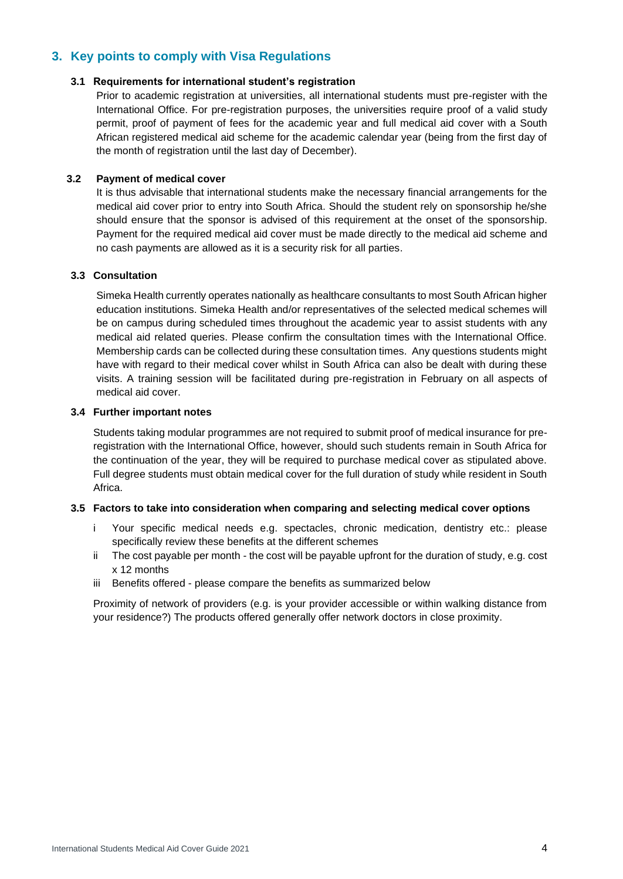## <span id="page-3-0"></span>**3. Key points to comply with Visa Regulations**

#### <span id="page-3-1"></span>**3.1 Requirements for international student's registration**

Prior to academic registration at universities, all international students must pre-register with the International Office. For pre-registration purposes, the universities require proof of a valid study permit, proof of payment of fees for the academic year and full medical aid cover with a South African registered medical aid scheme for the academic calendar year (being from the first day of the month of registration until the last day of December).

#### <span id="page-3-2"></span>**3.2 Payment of medical cover**

It is thus advisable that international students make the necessary financial arrangements for the medical aid cover prior to entry into South Africa. Should the student rely on sponsorship he/she should ensure that the sponsor is advised of this requirement at the onset of the sponsorship. Payment for the required medical aid cover must be made directly to the medical aid scheme and no cash payments are allowed as it is a security risk for all parties.

#### <span id="page-3-3"></span>**3.3 Consultation**

Simeka Health currently operates nationally as healthcare consultants to most South African higher education institutions. Simeka Health and/or representatives of the selected medical schemes will be on campus during scheduled times throughout the academic year to assist students with any medical aid related queries. Please confirm the consultation times with the International Office. Membership cards can be collected during these consultation times. Any questions students might have with regard to their medical cover whilst in South Africa can also be dealt with during these visits. A training session will be facilitated during pre-registration in February on all aspects of medical aid cover.

#### <span id="page-3-4"></span>**3.4 Further important notes**

Students taking modular programmes are not required to submit proof of medical insurance for preregistration with the International Office, however, should such students remain in South Africa for the continuation of the year, they will be required to purchase medical cover as stipulated above. Full degree students must obtain medical cover for the full duration of study while resident in South Africa.

#### <span id="page-3-5"></span>**3.5 Factors to take into consideration when comparing and selecting medical cover options**

- i Your specific medical needs e.g. spectacles, chronic medication, dentistry etc.: please specifically review these benefits at the different schemes
- ii The cost payable per month the cost will be payable upfront for the duration of study, e.g. cost x 12 months
- iii Benefits offered please compare the benefits as summarized below

Proximity of network of providers (e.g. is your provider accessible or within walking distance from your residence?) The products offered generally offer network doctors in close proximity.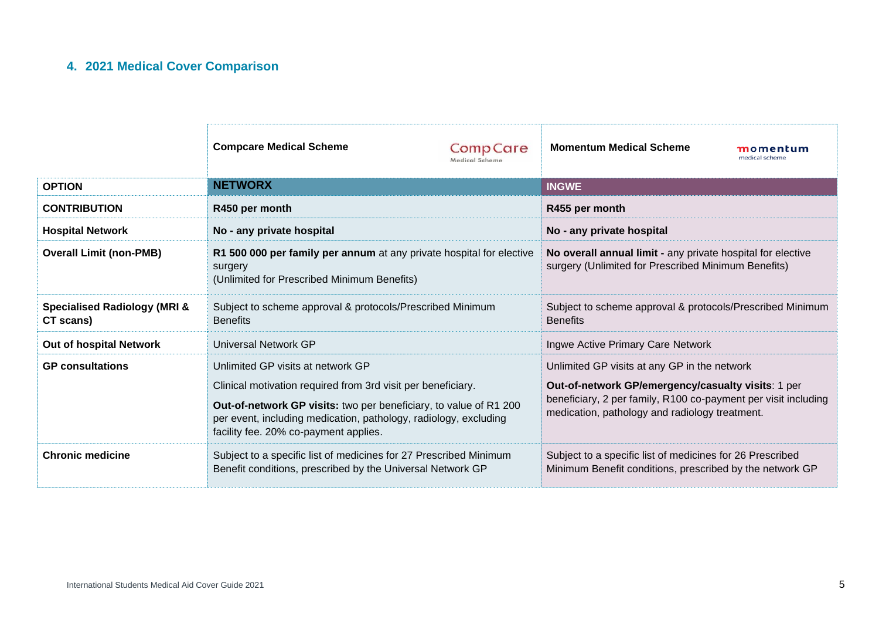# **4. 2021 Medical Cover Comparison**

<span id="page-4-0"></span>

|                                                                                                                                                            | <b>Compcare Medical Scheme</b>                                                                                                                                                                                                                                                      | <b>CompCare</b><br>Medical Scheme                                                                                     | <b>Momentum Medical Scheme</b>                                                                                                                                                                                         | momentum<br>medical scheme |
|------------------------------------------------------------------------------------------------------------------------------------------------------------|-------------------------------------------------------------------------------------------------------------------------------------------------------------------------------------------------------------------------------------------------------------------------------------|-----------------------------------------------------------------------------------------------------------------------|------------------------------------------------------------------------------------------------------------------------------------------------------------------------------------------------------------------------|----------------------------|
| <b>OPTION</b>                                                                                                                                              | <b>NETWORX</b>                                                                                                                                                                                                                                                                      |                                                                                                                       | <b>INGWE</b>                                                                                                                                                                                                           |                            |
| <b>CONTRIBUTION</b>                                                                                                                                        | R450 per month                                                                                                                                                                                                                                                                      |                                                                                                                       | R455 per month                                                                                                                                                                                                         |                            |
| <b>Hospital Network</b>                                                                                                                                    | No - any private hospital                                                                                                                                                                                                                                                           |                                                                                                                       | No - any private hospital                                                                                                                                                                                              |                            |
| <b>Overall Limit (non-PMB)</b>                                                                                                                             | R1 500 000 per family per annum at any private hospital for elective<br>surgery<br>(Unlimited for Prescribed Minimum Benefits)                                                                                                                                                      |                                                                                                                       | No overall annual limit - any private hospital for elective<br>surgery (Unlimited for Prescribed Minimum Benefits)                                                                                                     |                            |
| <b>Specialised Radiology (MRI &amp;</b><br>CT scans)                                                                                                       | Subject to scheme approval & protocols/Prescribed Minimum<br><b>Benefits</b>                                                                                                                                                                                                        |                                                                                                                       | Subject to scheme approval & protocols/Prescribed Minimum<br><b>Benefits</b>                                                                                                                                           |                            |
| <b>Out of hospital Network</b>                                                                                                                             | Universal Network GP                                                                                                                                                                                                                                                                |                                                                                                                       | Ingwe Active Primary Care Network                                                                                                                                                                                      |                            |
| <b>GP</b> consultations                                                                                                                                    | Unlimited GP visits at network GP<br>Clinical motivation required from 3rd visit per beneficiary.<br>Out-of-network GP visits: two per beneficiary, to value of R1 200<br>per event, including medication, pathology, radiology, excluding<br>facility fee. 20% co-payment applies. |                                                                                                                       | Unlimited GP visits at any GP in the network<br>Out-of-network GP/emergency/casualty visits: 1 per<br>beneficiary, 2 per family, R100 co-payment per visit including<br>medication, pathology and radiology treatment. |                            |
| <b>Chronic medicine</b><br>Subject to a specific list of medicines for 27 Prescribed Minimum<br>Benefit conditions, prescribed by the Universal Network GP |                                                                                                                                                                                                                                                                                     | Subject to a specific list of medicines for 26 Prescribed<br>Minimum Benefit conditions, prescribed by the network GP |                                                                                                                                                                                                                        |                            |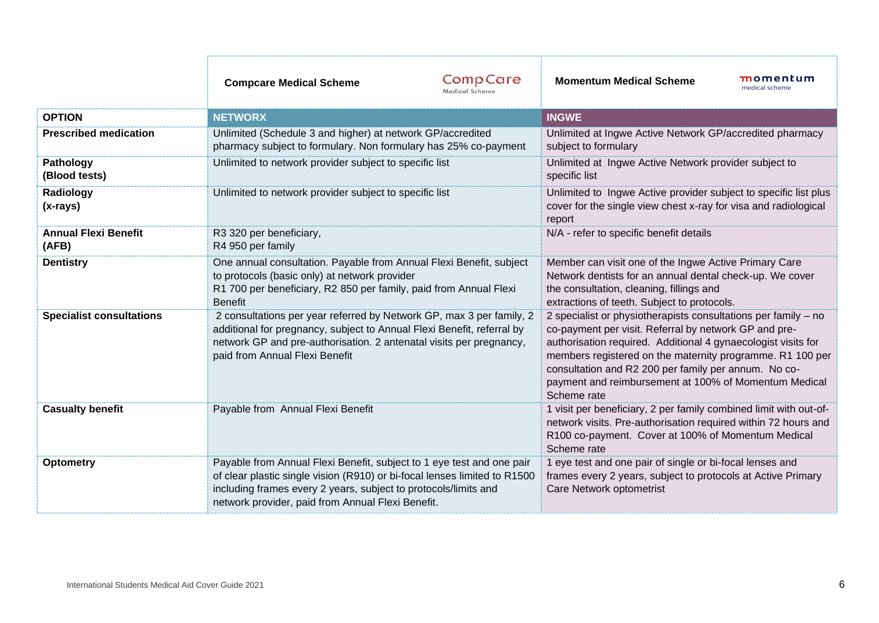|                                      | <b>Compcare Medical Scheme</b>                                                                                                                                                                                                                                             | <b>CompCare</b><br>Medical Scheme | <b>Momentum Medical Scheme</b>                                                                                                                                                                                                                                                                                                                                                        | momentum<br>medical scheme |
|--------------------------------------|----------------------------------------------------------------------------------------------------------------------------------------------------------------------------------------------------------------------------------------------------------------------------|-----------------------------------|---------------------------------------------------------------------------------------------------------------------------------------------------------------------------------------------------------------------------------------------------------------------------------------------------------------------------------------------------------------------------------------|----------------------------|
| <b>OPTION</b>                        | <b>NETWORX</b>                                                                                                                                                                                                                                                             |                                   | <b>INGWE</b>                                                                                                                                                                                                                                                                                                                                                                          |                            |
| <b>Prescribed medication</b>         | Unlimited (Schedule 3 and higher) at network GP/accredited<br>pharmacy subject to formulary. Non formulary has 25% co-payment                                                                                                                                              |                                   | Unlimited at Ingwe Active Network GP/accredited pharmacy<br>subject to formulary                                                                                                                                                                                                                                                                                                      |                            |
| Pathology<br>(Blood tests)           | Unlimited to network provider subject to specific list                                                                                                                                                                                                                     |                                   | Unlimited at Ingwe Active Network provider subject to<br>specific list                                                                                                                                                                                                                                                                                                                |                            |
| Radiology<br>$(x-rays)$              | Unlimited to network provider subject to specific list                                                                                                                                                                                                                     |                                   | Unlimited to Ingwe Active provider subject to specific list plus<br>cover for the single view chest x-ray for visa and radiological<br>report                                                                                                                                                                                                                                         |                            |
| <b>Annual Flexi Benefit</b><br>(AFB) | R3 320 per beneficiary,<br>R4 950 per family                                                                                                                                                                                                                               |                                   | N/A - refer to specific benefit details                                                                                                                                                                                                                                                                                                                                               |                            |
| <b>Dentistry</b>                     | One annual consultation. Payable from Annual Flexi Benefit, subject<br>to protocols (basic only) at network provider<br>R1 700 per beneficiary, R2 850 per family, paid from Annual Flexi<br><b>Benefit</b>                                                                |                                   | Member can visit one of the Ingwe Active Primary Care<br>Network dentists for an annual dental check-up. We cover<br>the consultation, cleaning, fillings and<br>extractions of teeth. Subject to protocols.                                                                                                                                                                          |                            |
| <b>Specialist consultations</b>      | 2 consultations per year referred by Network GP, max 3 per family, 2<br>additional for pregnancy, subject to Annual Flexi Benefit, referral by<br>network GP and pre-authorisation. 2 antenatal visits per pregnancy,<br>paid from Annual Flexi Benefit                    |                                   | 2 specialist or physiotherapists consultations per family - no<br>co-payment per visit. Referral by network GP and pre-<br>authorisation required. Additional 4 gynaecologist visits for<br>members registered on the maternity programme. R1 100 per<br>consultation and R2 200 per family per annum. No co-<br>payment and reimbursement at 100% of Momentum Medical<br>Scheme rate |                            |
| <b>Casualty benefit</b>              | Payable from Annual Flexi Benefit                                                                                                                                                                                                                                          |                                   | 1 visit per beneficiary, 2 per family combined limit with out-of-<br>network visits. Pre-authorisation required within 72 hours and<br>R100 co-payment. Cover at 100% of Momentum Medical<br>Scheme rate                                                                                                                                                                              |                            |
| Optometry                            | Payable from Annual Flexi Benefit, subject to 1 eye test and one pair<br>of clear plastic single vision (R910) or bi-focal lenses limited to R1500<br>including frames every 2 years, subject to protocols/limits and<br>network provider, paid from Annual Flexi Benefit. |                                   | 1 eye test and one pair of single or bi-focal lenses and<br>frames every 2 years, subject to protocols at Active Primary<br>Care Network optometrist                                                                                                                                                                                                                                  |                            |